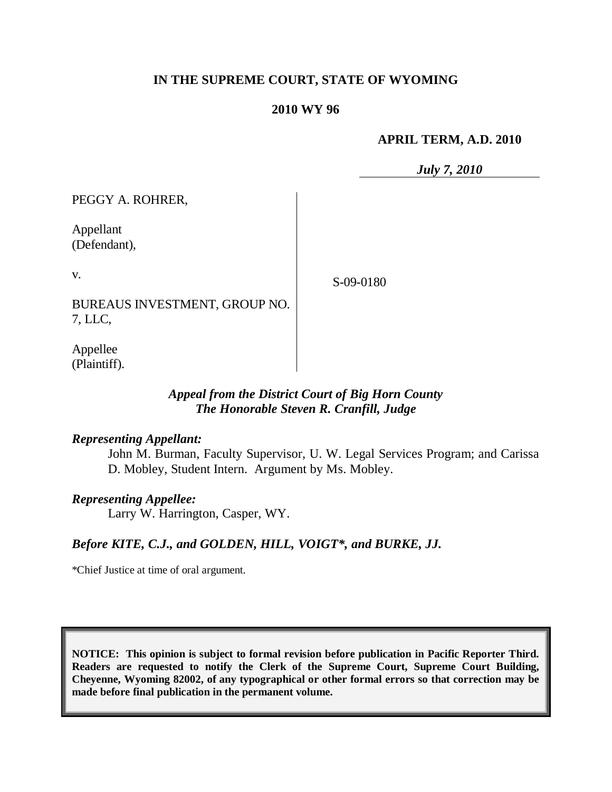# **IN THE SUPREME COURT, STATE OF WYOMING**

#### **2010 WY 96**

#### **APRIL TERM, A.D. 2010**

*July 7, 2010*

PEGGY A. ROHRER,

Appellant (Defendant),

v.

S-09-0180

BUREAUS INVESTMENT, GROUP NO. 7, LLC,

Appellee (Plaintiff).

# *Appeal from the District Court of Big Horn County The Honorable Steven R. Cranfill, Judge*

#### *Representing Appellant:*

John M. Burman, Faculty Supervisor, U. W. Legal Services Program; and Carissa D. Mobley, Student Intern. Argument by Ms. Mobley.

#### *Representing Appellee:*

Larry W. Harrington, Casper, WY.

### *Before KITE, C.J., and GOLDEN, HILL, VOIGT\*, and BURKE, JJ.*

\*Chief Justice at time of oral argument.

**NOTICE: This opinion is subject to formal revision before publication in Pacific Reporter Third. Readers are requested to notify the Clerk of the Supreme Court, Supreme Court Building, Cheyenne, Wyoming 82002, of any typographical or other formal errors so that correction may be made before final publication in the permanent volume.**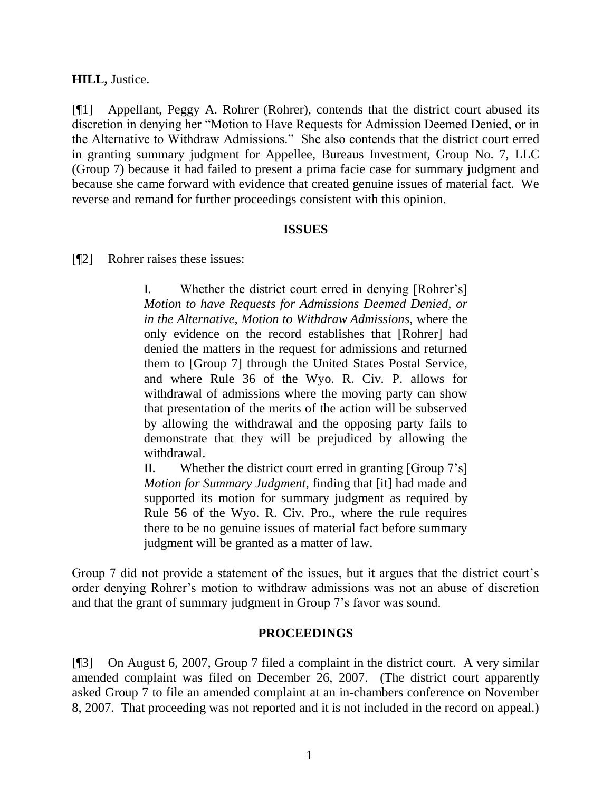### **HILL,** Justice.

[¶1] Appellant, Peggy A. Rohrer (Rohrer), contends that the district court abused its discretion in denying her "Motion to Have Requests for Admission Deemed Denied, or in the Alternative to Withdraw Admissions." She also contends that the district court erred in granting summary judgment for Appellee, Bureaus Investment, Group No. 7, LLC (Group 7) because it had failed to present a prima facie case for summary judgment and because she came forward with evidence that created genuine issues of material fact. We reverse and remand for further proceedings consistent with this opinion.

### **ISSUES**

[¶2] Rohrer raises these issues:

I. Whether the district court erred in denying [Rohrer"s] *Motion to have Requests for Admissions Deemed Denied, or in the Alternative, Motion to Withdraw Admissions*, where the only evidence on the record establishes that [Rohrer] had denied the matters in the request for admissions and returned them to [Group 7] through the United States Postal Service, and where Rule 36 of the Wyo. R. Civ. P. allows for withdrawal of admissions where the moving party can show that presentation of the merits of the action will be subserved by allowing the withdrawal and the opposing party fails to demonstrate that they will be prejudiced by allowing the withdrawal.

II. Whether the district court erred in granting [Group 7"s] *Motion for Summary Judgment*, finding that [it] had made and supported its motion for summary judgment as required by Rule 56 of the Wyo. R. Civ. Pro., where the rule requires there to be no genuine issues of material fact before summary judgment will be granted as a matter of law.

Group 7 did not provide a statement of the issues, but it argues that the district court's order denying Rohrer"s motion to withdraw admissions was not an abuse of discretion and that the grant of summary judgment in Group 7"s favor was sound.

# **PROCEEDINGS**

[¶3] On August 6, 2007, Group 7 filed a complaint in the district court. A very similar amended complaint was filed on December 26, 2007. (The district court apparently asked Group 7 to file an amended complaint at an in-chambers conference on November 8, 2007. That proceeding was not reported and it is not included in the record on appeal.)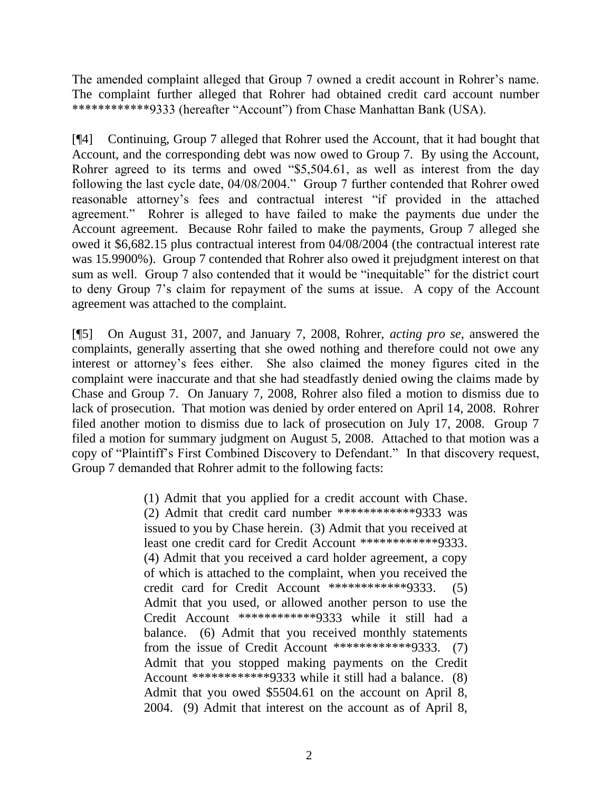The amended complaint alleged that Group 7 owned a credit account in Rohrer"s name. The complaint further alleged that Rohrer had obtained credit card account number \*\*\*\*\*\*\*\*\*\*\*\*9333 (hereafter "Account") from Chase Manhattan Bank (USA).

[¶4] Continuing, Group 7 alleged that Rohrer used the Account, that it had bought that Account, and the corresponding debt was now owed to Group 7. By using the Account, Rohrer agreed to its terms and owed "\$5,504.61, as well as interest from the day following the last cycle date, 04/08/2004." Group 7 further contended that Rohrer owed reasonable attorney"s fees and contractual interest "if provided in the attached agreement." Rohrer is alleged to have failed to make the payments due under the Account agreement. Because Rohr failed to make the payments, Group 7 alleged she owed it \$6,682.15 plus contractual interest from 04/08/2004 (the contractual interest rate was 15.9900%). Group 7 contended that Rohrer also owed it prejudgment interest on that sum as well. Group 7 also contended that it would be "inequitable" for the district court to deny Group 7"s claim for repayment of the sums at issue. A copy of the Account agreement was attached to the complaint.

[¶5] On August 31, 2007, and January 7, 2008, Rohrer, *acting pro se*, answered the complaints, generally asserting that she owed nothing and therefore could not owe any interest or attorney"s fees either. She also claimed the money figures cited in the complaint were inaccurate and that she had steadfastly denied owing the claims made by Chase and Group 7. On January 7, 2008, Rohrer also filed a motion to dismiss due to lack of prosecution. That motion was denied by order entered on April 14, 2008. Rohrer filed another motion to dismiss due to lack of prosecution on July 17, 2008. Group 7 filed a motion for summary judgment on August 5, 2008. Attached to that motion was a copy of "Plaintiff"s First Combined Discovery to Defendant." In that discovery request, Group 7 demanded that Rohrer admit to the following facts:

> (1) Admit that you applied for a credit account with Chase. (2) Admit that credit card number \*\*\*\*\*\*\*\*\*\*\*\*9333 was issued to you by Chase herein. (3) Admit that you received at least one credit card for Credit Account \*\*\*\*\*\*\*\*\*\*\*\*9333. (4) Admit that you received a card holder agreement, a copy of which is attached to the complaint, when you received the credit card for Credit Account \*\*\*\*\*\*\*\*\*\*\*\*9333. (5) Admit that you used, or allowed another person to use the Credit Account \*\*\*\*\*\*\*\*\*\*\*\*9333 while it still had a balance. (6) Admit that you received monthly statements from the issue of Credit Account \*\*\*\*\*\*\*\*\*\*\*\*9333. (7) Admit that you stopped making payments on the Credit Account \*\*\*\*\*\*\*\*\*\*\*\*9333 while it still had a balance. (8) Admit that you owed \$5504.61 on the account on April 8, 2004. (9) Admit that interest on the account as of April 8,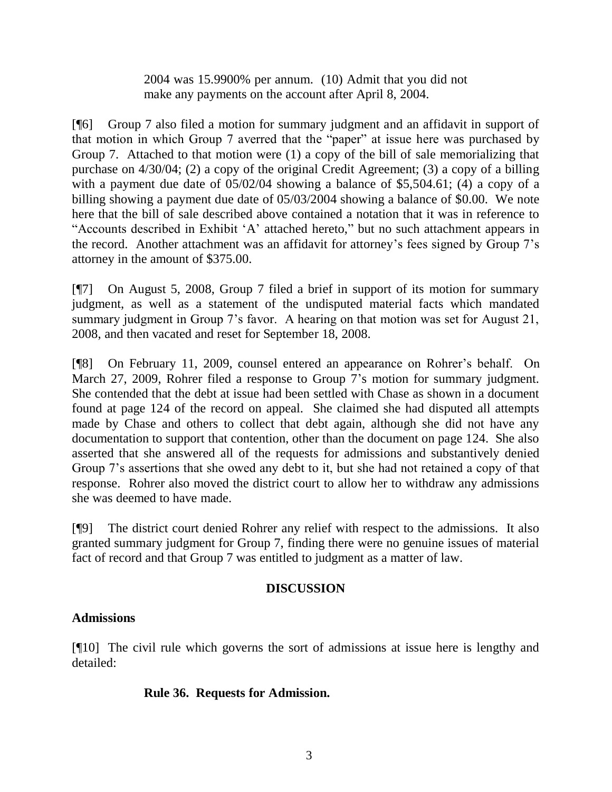2004 was 15.9900% per annum. (10) Admit that you did not make any payments on the account after April 8, 2004.

[¶6] Group 7 also filed a motion for summary judgment and an affidavit in support of that motion in which Group 7 averred that the "paper" at issue here was purchased by Group 7. Attached to that motion were (1) a copy of the bill of sale memorializing that purchase on 4/30/04; (2) a copy of the original Credit Agreement; (3) a copy of a billing with a payment due date of 05/02/04 showing a balance of \$5,504.61; (4) a copy of a billing showing a payment due date of 05/03/2004 showing a balance of \$0.00. We note here that the bill of sale described above contained a notation that it was in reference to "Accounts described in Exhibit "A" attached hereto," but no such attachment appears in the record. Another attachment was an affidavit for attorney"s fees signed by Group 7"s attorney in the amount of \$375.00.

[¶7] On August 5, 2008, Group 7 filed a brief in support of its motion for summary judgment, as well as a statement of the undisputed material facts which mandated summary judgment in Group 7"s favor. A hearing on that motion was set for August 21, 2008, and then vacated and reset for September 18, 2008.

[¶8] On February 11, 2009, counsel entered an appearance on Rohrer"s behalf. On March 27, 2009, Rohrer filed a response to Group 7's motion for summary judgment. She contended that the debt at issue had been settled with Chase as shown in a document found at page 124 of the record on appeal. She claimed she had disputed all attempts made by Chase and others to collect that debt again, although she did not have any documentation to support that contention, other than the document on page 124. She also asserted that she answered all of the requests for admissions and substantively denied Group 7's assertions that she owed any debt to it, but she had not retained a copy of that response. Rohrer also moved the district court to allow her to withdraw any admissions she was deemed to have made.

[¶9] The district court denied Rohrer any relief with respect to the admissions. It also granted summary judgment for Group 7, finding there were no genuine issues of material fact of record and that Group 7 was entitled to judgment as a matter of law.

# **DISCUSSION**

# **Admissions**

[¶10] The civil rule which governs the sort of admissions at issue here is lengthy and detailed:

# **Rule 36. Requests for Admission.**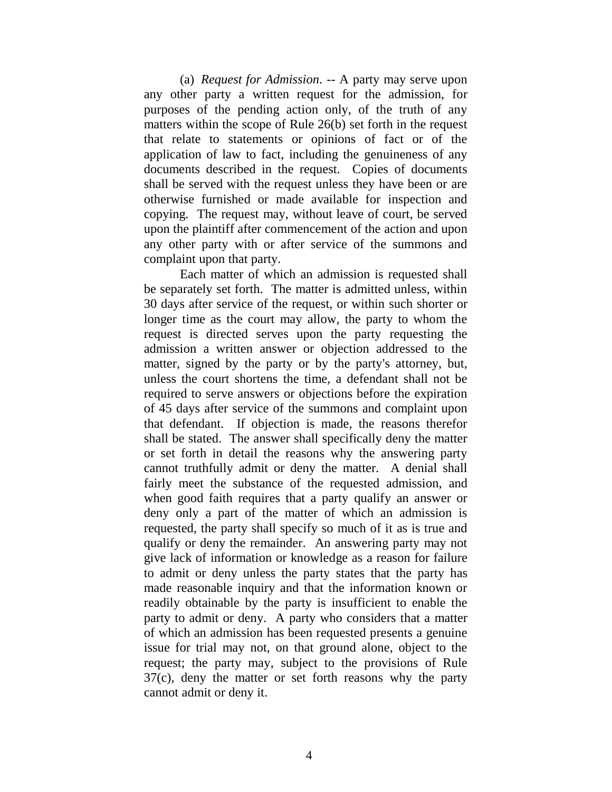(a) *Request for Admission*. -- A party may serve upon any other party a written request for the admission, for purposes of the pending action only, of the truth of any matters within the scope of Rule 26(b) set forth in the request that relate to statements or opinions of fact or of the application of law to fact, including the genuineness of any documents described in the request. Copies of documents shall be served with the request unless they have been or are otherwise furnished or made available for inspection and copying. The request may, without leave of court, be served upon the plaintiff after commencement of the action and upon any other party with or after service of the summons and complaint upon that party.

Each matter of which an admission is requested shall be separately set forth. The matter is admitted unless, within 30 days after service of the request, or within such shorter or longer time as the court may allow, the party to whom the request is directed serves upon the party requesting the admission a written answer or objection addressed to the matter, signed by the party or by the party's attorney, but, unless the court shortens the time, a defendant shall not be required to serve answers or objections before the expiration of 45 days after service of the summons and complaint upon that defendant. If objection is made, the reasons therefor shall be stated. The answer shall specifically deny the matter or set forth in detail the reasons why the answering party cannot truthfully admit or deny the matter. A denial shall fairly meet the substance of the requested admission, and when good faith requires that a party qualify an answer or deny only a part of the matter of which an admission is requested, the party shall specify so much of it as is true and qualify or deny the remainder. An answering party may not give lack of information or knowledge as a reason for failure to admit or deny unless the party states that the party has made reasonable inquiry and that the information known or readily obtainable by the party is insufficient to enable the party to admit or deny. A party who considers that a matter of which an admission has been requested presents a genuine issue for trial may not, on that ground alone, object to the request; the party may, subject to the provisions of Rule 37(c), deny the matter or set forth reasons why the party cannot admit or deny it.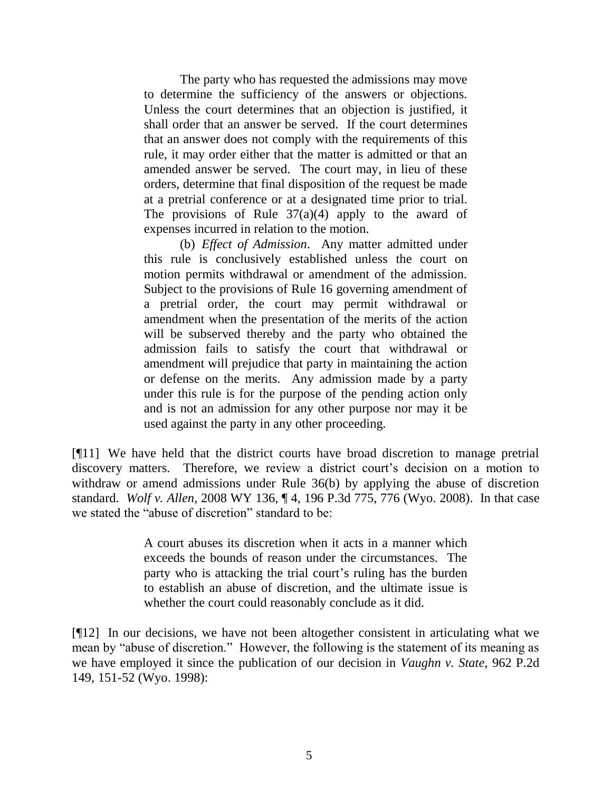The party who has requested the admissions may move to determine the sufficiency of the answers or objections. Unless the court determines that an objection is justified, it shall order that an answer be served. If the court determines that an answer does not comply with the requirements of this rule, it may order either that the matter is admitted or that an amended answer be served. The court may, in lieu of these orders, determine that final disposition of the request be made at a pretrial conference or at a designated time prior to trial. The provisions of Rule  $37(a)(4)$  apply to the award of expenses incurred in relation to the motion.

(b) *Effect of Admission*. Any matter admitted under this rule is conclusively established unless the court on motion permits withdrawal or amendment of the admission. Subject to the provisions of Rule 16 governing amendment of a pretrial order, the court may permit withdrawal or amendment when the presentation of the merits of the action will be subserved thereby and the party who obtained the admission fails to satisfy the court that withdrawal or amendment will prejudice that party in maintaining the action or defense on the merits. Any admission made by a party under this rule is for the purpose of the pending action only and is not an admission for any other purpose nor may it be used against the party in any other proceeding.

[¶11] We have held that the district courts have broad discretion to manage pretrial discovery matters. Therefore, we review a district court's decision on a motion to withdraw or amend admissions under Rule 36(b) by applying the abuse of discretion standard. *Wolf v. Allen*, 2008 WY 136, ¶ 4, 196 P.3d 775, 776 (Wyo. 2008). In that case we stated the "abuse of discretion" standard to be:

> A court abuses its discretion when it acts in a manner which exceeds the bounds of reason under the circumstances. The party who is attacking the trial court's ruling has the burden to establish an abuse of discretion, and the ultimate issue is whether the court could reasonably conclude as it did.

[¶12] In our decisions, we have not been altogether consistent in articulating what we mean by "abuse of discretion." However, the following is the statement of its meaning as we have employed it since the publication of our decision in *Vaughn v. State*, 962 P.2d 149, 151-52 (Wyo. 1998):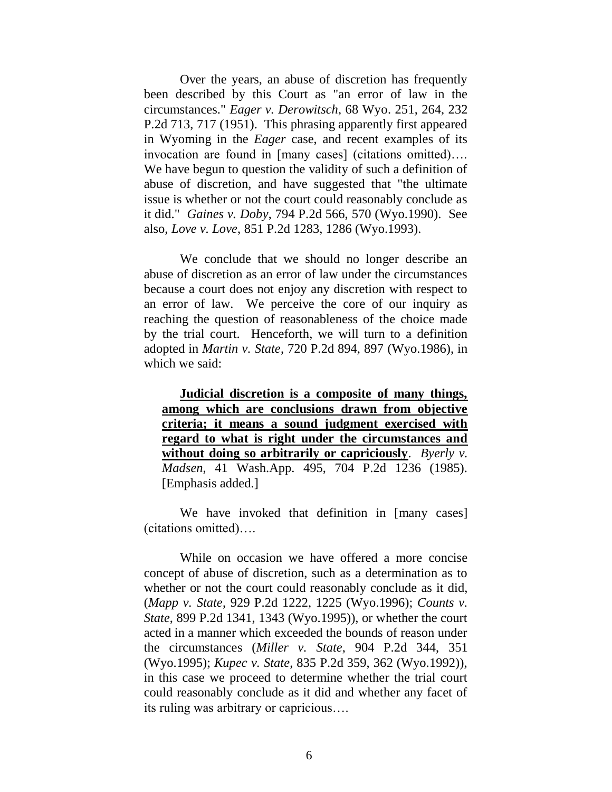Over the years, an abuse of discretion has frequently been described by this Court as "an error of law in the circumstances." *Eager v. Derowitsch*, 68 Wyo. 251, 264, 232 P.2d 713, 717 (1951). This phrasing apparently first appeared in Wyoming in the *Eager* case, and recent examples of its invocation are found in [many cases] (citations omitted)…. We have begun to question the validity of such a definition of abuse of discretion, and have suggested that "the ultimate issue is whether or not the court could reasonably conclude as it did." *Gaines v. Doby*, 794 P.2d 566, 570 (Wyo.1990). See also, *Love v. Love*, 851 P.2d 1283, 1286 (Wyo.1993).

We conclude that we should no longer describe an abuse of discretion as an error of law under the circumstances because a court does not enjoy any discretion with respect to an error of law. We perceive the core of our inquiry as reaching the question of reasonableness of the choice made by the trial court. Henceforth, we will turn to a definition adopted in *Martin v. State*, 720 P.2d 894, 897 (Wyo.1986), in which we said:

**Judicial discretion is a composite of many things, among which are conclusions drawn from objective criteria; it means a sound judgment exercised with regard to what is right under the circumstances and without doing so arbitrarily or capriciously**. *Byerly v. Madsen*, 41 Wash.App. 495, 704 P.2d 1236 (1985). [Emphasis added.]

We have invoked that definition in [many cases] (citations omitted)….

While on occasion we have offered a more concise concept of abuse of discretion, such as a determination as to whether or not the court could reasonably conclude as it did, (*Mapp v. State*, 929 P.2d 1222, 1225 (Wyo.1996); *Counts v. State*, 899 P.2d 1341, 1343 (Wyo.1995)), or whether the court acted in a manner which exceeded the bounds of reason under the circumstances (*Miller v. State*, 904 P.2d 344, 351 (Wyo.1995); *Kupec v. State*, 835 P.2d 359, 362 (Wyo.1992)), in this case we proceed to determine whether the trial court could reasonably conclude as it did and whether any facet of its ruling was arbitrary or capricious….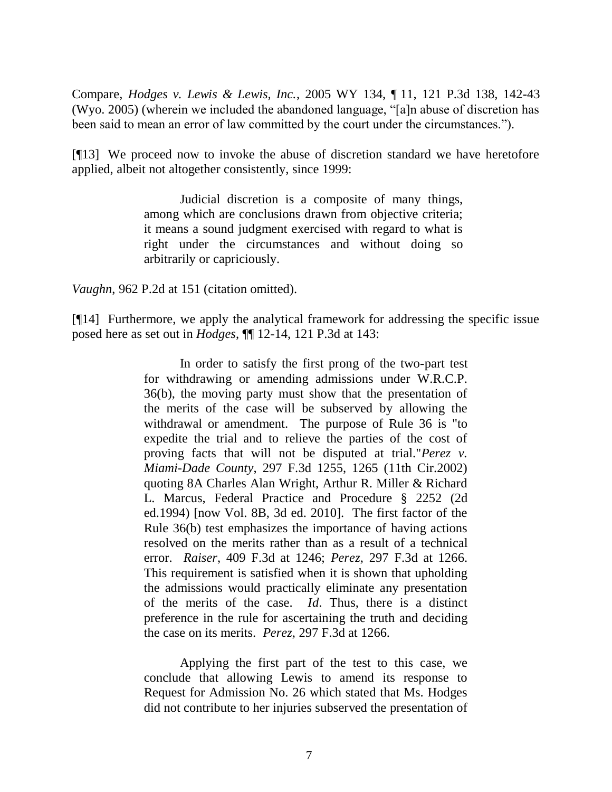Compare, *Hodges v. Lewis & Lewis, Inc.*, 2005 WY 134, ¶ 11, 121 P.3d 138, 142-43 (Wyo. 2005) (wherein we included the abandoned language, "[a]n abuse of discretion has been said to mean an error of law committed by the court under the circumstances.").

[¶13] We proceed now to invoke the abuse of discretion standard we have heretofore applied, albeit not altogether consistently, since 1999:

> Judicial discretion is a composite of many things, among which are conclusions drawn from objective criteria; it means a sound judgment exercised with regard to what is right under the circumstances and without doing so arbitrarily or capriciously.

*Vaughn*, 962 P.2d at 151 (citation omitted).

[¶14] Furthermore, we apply the analytical framework for addressing the specific issue posed here as set out in *Hodges*, ¶¶ 12-14, 121 P.3d at 143:

> In order to satisfy the first prong of the two-part test for withdrawing or amending admissions under W.R.C.P. 36(b), the moving party must show that the presentation of the merits of the case will be subserved by allowing the withdrawal or amendment. The purpose of Rule 36 is "to expedite the trial and to relieve the parties of the cost of proving facts that will not be disputed at trial."*Perez v. Miami-Dade County*, 297 F.3d 1255, 1265 (11th Cir.2002) quoting 8A Charles Alan Wright, Arthur R. Miller & Richard L. Marcus, Federal Practice and Procedure § 2252 (2d ed.1994) [now Vol. 8B, 3d ed. 2010]. The first factor of the Rule 36(b) test emphasizes the importance of having actions resolved on the merits rather than as a result of a technical error. *Raiser*, 409 F.3d at 1246; *Perez*, 297 F.3d at 1266. This requirement is satisfied when it is shown that upholding the admissions would practically eliminate any presentation of the merits of the case. *Id*. Thus, there is a distinct preference in the rule for ascertaining the truth and deciding the case on its merits. *Perez*, 297 F.3d at 1266.

> Applying the first part of the test to this case, we conclude that allowing Lewis to amend its response to Request for Admission No. 26 which stated that Ms. Hodges did not contribute to her injuries subserved the presentation of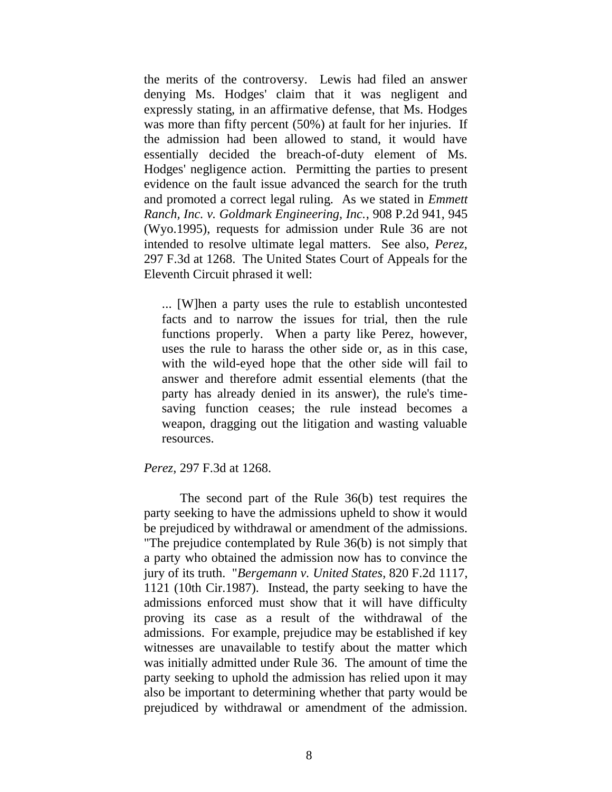the merits of the controversy. Lewis had filed an answer denying Ms. Hodges' claim that it was negligent and expressly stating, in an affirmative defense, that Ms. Hodges was more than fifty percent (50%) at fault for her injuries. If the admission had been allowed to stand, it would have essentially decided the breach-of-duty element of Ms. Hodges' negligence action. Permitting the parties to present evidence on the fault issue advanced the search for the truth and promoted a correct legal ruling. As we stated in *Emmett Ranch, Inc. v. Goldmark Engineering, Inc.*, 908 P.2d 941, 945 (Wyo.1995), requests for admission under Rule 36 are not intended to resolve ultimate legal matters. See also, *Perez*, 297 F.3d at 1268. The United States Court of Appeals for the Eleventh Circuit phrased it well:

... [W]hen a party uses the rule to establish uncontested facts and to narrow the issues for trial, then the rule functions properly. When a party like Perez, however, uses the rule to harass the other side or, as in this case, with the wild-eyed hope that the other side will fail to answer and therefore admit essential elements (that the party has already denied in its answer), the rule's timesaving function ceases; the rule instead becomes a weapon, dragging out the litigation and wasting valuable resources.

*Perez*, 297 F.3d at 1268.

The second part of the Rule 36(b) test requires the party seeking to have the admissions upheld to show it would be prejudiced by withdrawal or amendment of the admissions. "The prejudice contemplated by Rule 36(b) is not simply that a party who obtained the admission now has to convince the jury of its truth. "*Bergemann v. United States*, 820 F.2d 1117, 1121 (10th Cir.1987). Instead, the party seeking to have the admissions enforced must show that it will have difficulty proving its case as a result of the withdrawal of the admissions. For example, prejudice may be established if key witnesses are unavailable to testify about the matter which was initially admitted under Rule 36. The amount of time the party seeking to uphold the admission has relied upon it may also be important to determining whether that party would be prejudiced by withdrawal or amendment of the admission.